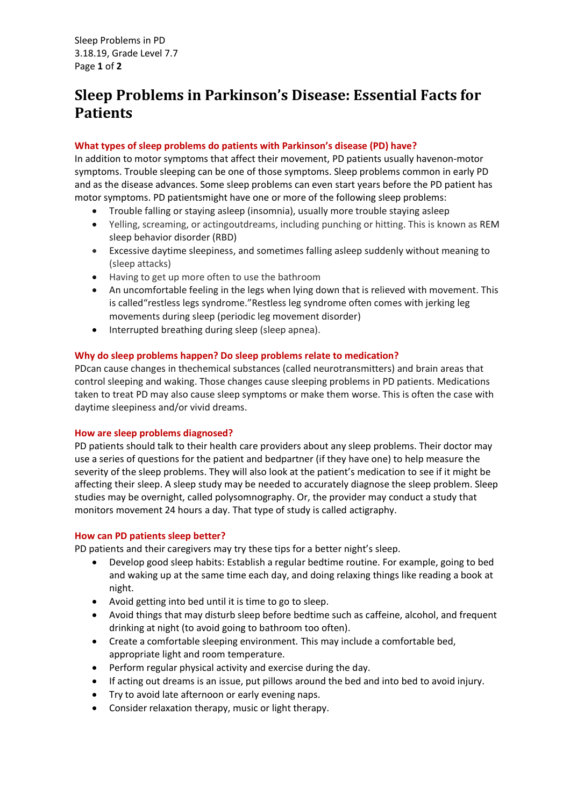Sleep Problems in PD 3.18.19, Grade Level 7.7 Page **1** of **2**

# **Sleep Problems in Parkinson's Disease: Essential Facts for Patients**

## **What types of sleep problems do patients with Parkinson's disease (PD) have?**

In addition to motor symptoms that affect their movement, PD patients usually havenon-motor symptoms. Trouble sleeping can be one of those symptoms. Sleep problems common in early PD and as the disease advances. Some sleep problems can even start years before the PD patient has motor symptoms. PD patientsmight have one or more of the following sleep problems:

- Trouble falling or staying asleep (insomnia), usually more trouble staying asleep
- Yelling, screaming, or actingoutdreams, including punching or hitting. This is known as REM sleep behavior disorder (RBD)
- Excessive daytime sleepiness, and sometimes falling asleep suddenly without meaning to (sleep attacks)
- Having to get up more often to use the bathroom
- An uncomfortable feeling in the legs when lying down that is relieved with movement. This is called"restless legs syndrome."Restless leg syndrome often comes with jerking leg movements during sleep (periodic leg movement disorder)
- Interrupted breathing during sleep (sleep apnea).

### **Why do sleep problems happen? Do sleep problems relate to medication?**

PDcan cause changes in thechemical substances (called neurotransmitters) and brain areas that control sleeping and waking. Those changes cause sleeping problems in PD patients. Medications taken to treat PD may also cause sleep symptoms or make them worse. This is often the case with daytime sleepiness and/or vivid dreams.

#### **How are sleep problems diagnosed?**

PD patients should talk to their health care providers about any sleep problems. Their doctor may use a series of questions for the patient and bedpartner (if they have one) to help measure the severity of the sleep problems. They will also look at the patient's medication to see if it might be affecting their sleep. A sleep study may be needed to accurately diagnose the sleep problem. Sleep studies may be overnight, called polysomnography. Or, the provider may conduct a study that monitors movement 24 hours a day. That type of study is called actigraphy.

#### **How can PD patients sleep better?**

PD patients and their caregivers may try these tips for a better night's sleep.

- Develop good sleep habits: Establish a regular bedtime routine. For example, going to bed and waking up at the same time each day, and doing relaxing things like reading a book at night.
- Avoid getting into bed until it is time to go to sleep.
- Avoid things that may disturb sleep before bedtime such as caffeine, alcohol, and frequent drinking at night (to avoid going to bathroom too often).
- Create a comfortable sleeping environment. This may include a comfortable bed, appropriate light and room temperature.
- Perform regular physical activity and exercise during the day.
- If acting out dreams is an issue, put pillows around the bed and into bed to avoid injury.
- Try to avoid late afternoon or early evening naps.
- Consider relaxation therapy, music or light therapy.